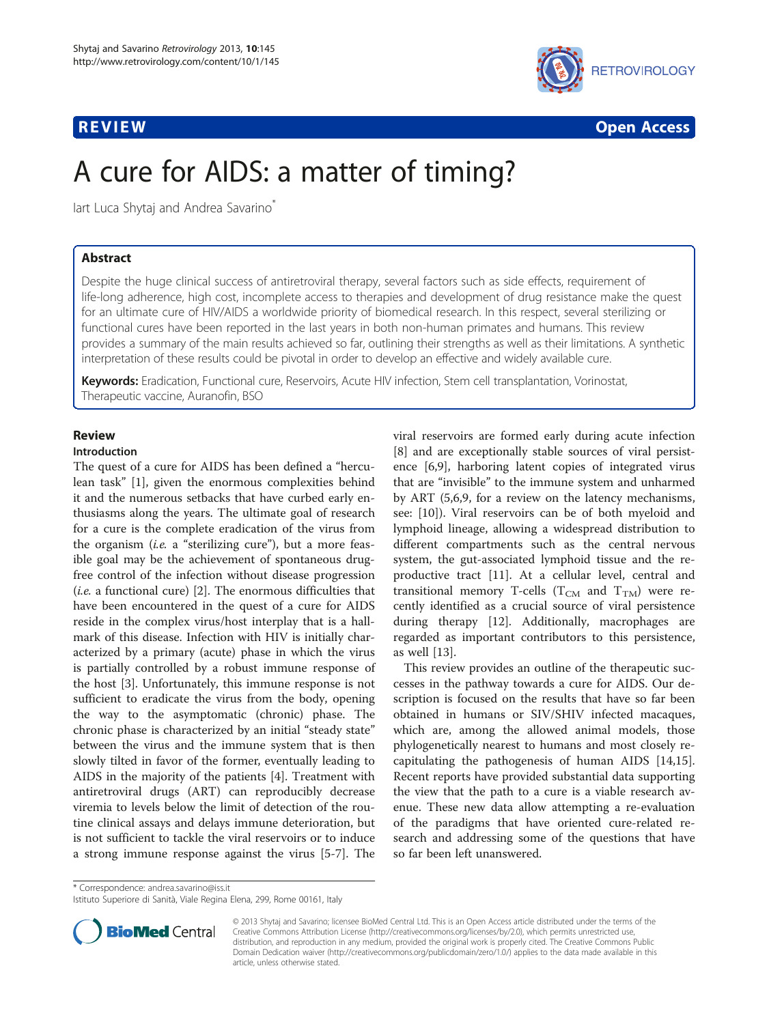

**REVIEW CONSTRUCTION CONSTRUCTION CONSTRUCTION CONSTRUCTS** 

# A cure for AIDS: a matter of timing?

lart Luca Shytaj and Andrea Savarino<sup>®</sup>

# Abstract

Despite the huge clinical success of antiretroviral therapy, several factors such as side effects, requirement of life-long adherence, high cost, incomplete access to therapies and development of drug resistance make the quest for an ultimate cure of HIV/AIDS a worldwide priority of biomedical research. In this respect, several sterilizing or functional cures have been reported in the last years in both non-human primates and humans. This review provides a summary of the main results achieved so far, outlining their strengths as well as their limitations. A synthetic interpretation of these results could be pivotal in order to develop an effective and widely available cure.

Keywords: Eradication, Functional cure, Reservoirs, Acute HIV infection, Stem cell transplantation, Vorinostat, Therapeutic vaccine, Auranofin, BSO

# Review

# Introduction

The quest of a cure for AIDS has been defined a "herculean task" [[1\]](#page-7-0), given the enormous complexities behind it and the numerous setbacks that have curbed early enthusiasms along the years. The ultimate goal of research for a cure is the complete eradication of the virus from the organism (*i.e.* a "sterilizing cure"), but a more feasible goal may be the achievement of spontaneous drugfree control of the infection without disease progression  $(i.e.$  a functional cure) [[2\]](#page-7-0). The enormous difficulties that have been encountered in the quest of a cure for AIDS reside in the complex virus/host interplay that is a hallmark of this disease. Infection with HIV is initially characterized by a primary (acute) phase in which the virus is partially controlled by a robust immune response of the host [[3\]](#page-7-0). Unfortunately, this immune response is not sufficient to eradicate the virus from the body, opening the way to the asymptomatic (chronic) phase. The chronic phase is characterized by an initial "steady state" between the virus and the immune system that is then slowly tilted in favor of the former, eventually leading to AIDS in the majority of the patients [[4\]](#page-7-0). Treatment with antiretroviral drugs (ART) can reproducibly decrease viremia to levels below the limit of detection of the routine clinical assays and delays immune deterioration, but is not sufficient to tackle the viral reservoirs or to induce a strong immune response against the virus [\[5](#page-7-0)-[7\]](#page-7-0). The

viral reservoirs are formed early during acute infection [[8\]](#page-7-0) and are exceptionally stable sources of viral persistence [[6,9\]](#page-7-0), harboring latent copies of integrated virus that are "invisible" to the immune system and unharmed by ART (5,6,9, for a review on the latency mechanisms, see: [[10\]](#page-7-0)). Viral reservoirs can be of both myeloid and lymphoid lineage, allowing a widespread distribution to different compartments such as the central nervous system, the gut-associated lymphoid tissue and the reproductive tract [[11](#page-7-0)]. At a cellular level, central and transitional memory T-cells ( $T_{CM}$  and  $T_{TM}$ ) were recently identified as a crucial source of viral persistence during therapy [\[12](#page-7-0)]. Additionally, macrophages are regarded as important contributors to this persistence, as well [\[13](#page-7-0)].

This review provides an outline of the therapeutic successes in the pathway towards a cure for AIDS. Our description is focused on the results that have so far been obtained in humans or SIV/SHIV infected macaques, which are, among the allowed animal models, those phylogenetically nearest to humans and most closely recapitulating the pathogenesis of human AIDS [\[14,15](#page-7-0)]. Recent reports have provided substantial data supporting the view that the path to a cure is a viable research avenue. These new data allow attempting a re-evaluation of the paradigms that have oriented cure-related research and addressing some of the questions that have so far been left unanswered.

\* Correspondence: [andrea.savarino@iss.it](mailto:andrea.savarino@iss.it)

Istituto Superiore di Sanità, Viale Regina Elena, 299, Rome 00161, Italy



© 2013 Shytaj and Savarino; licensee BioMed Central Ltd. This is an Open Access article distributed under the terms of the Creative Commons Attribution License (<http://creativecommons.org/licenses/by/2.0>), which permits unrestricted use, distribution, and reproduction in any medium, provided the original work is properly cited. The Creative Commons Public Domain Dedication waiver [\(http://creativecommons.org/publicdomain/zero/1.0/\)](http://creativecommons.org/publicdomain/zero/1.0/) applies to the data made available in this article, unless otherwise stated.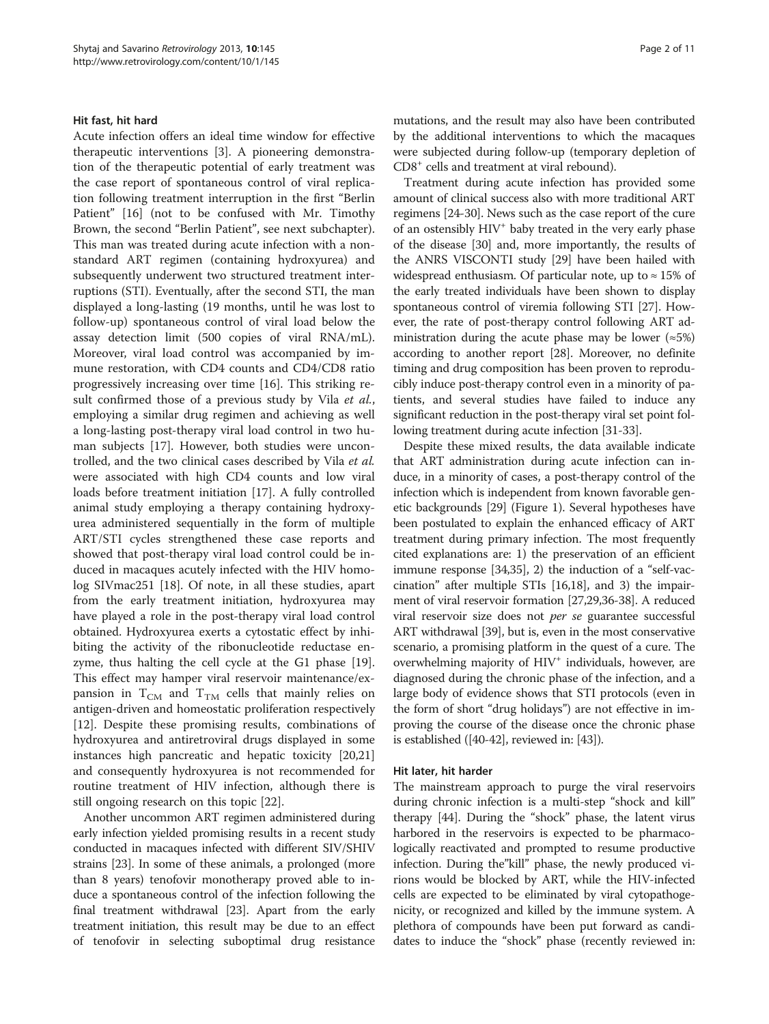## Hit fast, hit hard

Acute infection offers an ideal time window for effective therapeutic interventions [\[3\]](#page-7-0). A pioneering demonstration of the therapeutic potential of early treatment was the case report of spontaneous control of viral replication following treatment interruption in the first "Berlin Patient" [[16\]](#page-7-0) (not to be confused with Mr. Timothy Brown, the second "Berlin Patient", see next subchapter). This man was treated during acute infection with a nonstandard ART regimen (containing hydroxyurea) and subsequently underwent two structured treatment interruptions (STI). Eventually, after the second STI, the man displayed a long-lasting (19 months, until he was lost to follow-up) spontaneous control of viral load below the assay detection limit (500 copies of viral RNA/mL). Moreover, viral load control was accompanied by immune restoration, with CD4 counts and CD4/CD8 ratio progressively increasing over time [\[16](#page-7-0)]. This striking result confirmed those of a previous study by Vila et al., employing a similar drug regimen and achieving as well a long-lasting post-therapy viral load control in two human subjects [\[17](#page-7-0)]. However, both studies were uncontrolled, and the two clinical cases described by Vila et al. were associated with high CD4 counts and low viral loads before treatment initiation [\[17\]](#page-7-0). A fully controlled animal study employing a therapy containing hydroxyurea administered sequentially in the form of multiple ART/STI cycles strengthened these case reports and showed that post-therapy viral load control could be induced in macaques acutely infected with the HIV homolog SIVmac251 [[18\]](#page-7-0). Of note, in all these studies, apart from the early treatment initiation, hydroxyurea may have played a role in the post-therapy viral load control obtained. Hydroxyurea exerts a cytostatic effect by inhibiting the activity of the ribonucleotide reductase enzyme, thus halting the cell cycle at the G1 phase [\[19](#page-7-0)]. This effect may hamper viral reservoir maintenance/expansion in  $T_{CM}$  and  $T_{TM}$  cells that mainly relies on antigen-driven and homeostatic proliferation respectively [[12\]](#page-7-0). Despite these promising results, combinations of hydroxyurea and antiretroviral drugs displayed in some instances high pancreatic and hepatic toxicity [[20](#page-7-0),[21](#page-7-0)] and consequently hydroxyurea is not recommended for routine treatment of HIV infection, although there is still ongoing research on this topic [\[22\]](#page-8-0).

Another uncommon ART regimen administered during early infection yielded promising results in a recent study conducted in macaques infected with different SIV/SHIV strains [\[23\]](#page-8-0). In some of these animals, a prolonged (more than 8 years) tenofovir monotherapy proved able to induce a spontaneous control of the infection following the final treatment withdrawal [\[23\]](#page-8-0). Apart from the early treatment initiation, this result may be due to an effect of tenofovir in selecting suboptimal drug resistance

mutations, and the result may also have been contributed by the additional interventions to which the macaques were subjected during follow-up (temporary depletion of CD8+ cells and treatment at viral rebound).

Treatment during acute infection has provided some amount of clinical success also with more traditional ART regimens [[24](#page-8-0)-[30](#page-8-0)]. News such as the case report of the cure of an ostensibly HIV<sup>+</sup> baby treated in the very early phase of the disease [\[30\]](#page-8-0) and, more importantly, the results of the ANRS VISCONTI study [\[29\]](#page-8-0) have been hailed with widespread enthusiasm. Of particular note, up to  $\approx$  15% of the early treated individuals have been shown to display spontaneous control of viremia following STI [\[27](#page-8-0)]. However, the rate of post-therapy control following ART administration during the acute phase may be lower ( $\approx 5\%$ ) according to another report [\[28\]](#page-8-0). Moreover, no definite timing and drug composition has been proven to reproducibly induce post-therapy control even in a minority of patients, and several studies have failed to induce any significant reduction in the post-therapy viral set point following treatment during acute infection [\[31-33\]](#page-8-0).

Despite these mixed results, the data available indicate that ART administration during acute infection can induce, in a minority of cases, a post-therapy control of the infection which is independent from known favorable genetic backgrounds [[29](#page-8-0)] (Figure [1\)](#page-2-0). Several hypotheses have been postulated to explain the enhanced efficacy of ART treatment during primary infection. The most frequently cited explanations are: 1) the preservation of an efficient immune response [\[34,35\]](#page-8-0), 2) the induction of a "self-vaccination" after multiple STIs [\[16,18\]](#page-7-0), and 3) the impairment of viral reservoir formation [[27](#page-8-0),[29,36-38\]](#page-8-0). A reduced viral reservoir size does not per se guarantee successful ART withdrawal [\[39\]](#page-8-0), but is, even in the most conservative scenario, a promising platform in the quest of a cure. The overwhelming majority of HIV<sup>+</sup> individuals, however, are diagnosed during the chronic phase of the infection, and a large body of evidence shows that STI protocols (even in the form of short "drug holidays") are not effective in improving the course of the disease once the chronic phase is established ([\[40-42\]](#page-8-0), reviewed in: [[43](#page-8-0)]).

# Hit later, hit harder

The mainstream approach to purge the viral reservoirs during chronic infection is a multi-step "shock and kill" therapy [\[44\]](#page-8-0). During the "shock" phase, the latent virus harbored in the reservoirs is expected to be pharmacologically reactivated and prompted to resume productive infection. During the"kill" phase, the newly produced virions would be blocked by ART, while the HIV-infected cells are expected to be eliminated by viral cytopathogenicity, or recognized and killed by the immune system. A plethora of compounds have been put forward as candidates to induce the "shock" phase (recently reviewed in: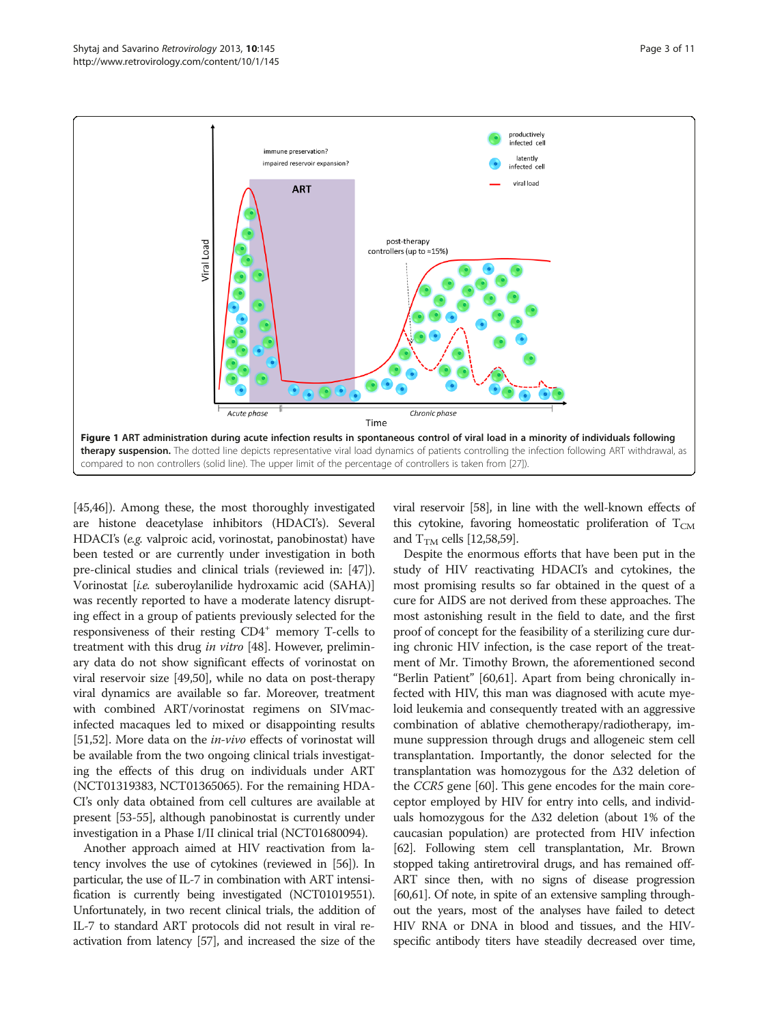<span id="page-2-0"></span>

[[45,46](#page-8-0)]). Among these, the most thoroughly investigated are histone deacetylase inhibitors (HDACI's). Several HDACI's (e.g. valproic acid, vorinostat, panobinostat) have been tested or are currently under investigation in both pre-clinical studies and clinical trials (reviewed in: [[47](#page-8-0)]). Vorinostat [i.e. suberoylanilide hydroxamic acid (SAHA)] was recently reported to have a moderate latency disrupting effect in a group of patients previously selected for the responsiveness of their resting CD4<sup>+</sup> memory T-cells to treatment with this drug in vitro [[48](#page-8-0)]. However, preliminary data do not show significant effects of vorinostat on viral reservoir size [[49,50\]](#page-8-0), while no data on post-therapy viral dynamics are available so far. Moreover, treatment with combined ART/vorinostat regimens on SIVmacinfected macaques led to mixed or disappointing results [[51,52](#page-8-0)]. More data on the *in-vivo* effects of vorinostat will be available from the two ongoing clinical trials investigating the effects of this drug on individuals under ART (NCT01319383, NCT01365065). For the remaining HDA-CI's only data obtained from cell cultures are available at present [[53](#page-8-0)-[55](#page-9-0)], although panobinostat is currently under investigation in a Phase I/II clinical trial (NCT01680094).

Another approach aimed at HIV reactivation from latency involves the use of cytokines (reviewed in [\[56\]](#page-9-0)). In particular, the use of IL-7 in combination with ART intensification is currently being investigated (NCT01019551). Unfortunately, in two recent clinical trials, the addition of IL-7 to standard ART protocols did not result in viral reactivation from latency [\[57\]](#page-9-0), and increased the size of the

viral reservoir [[58](#page-9-0)], in line with the well-known effects of this cytokine, favoring homeostatic proliferation of  $T_{CM}$ and  $T<sub>TM</sub>$  cells [[12](#page-7-0)[,58,59\]](#page-9-0).

Despite the enormous efforts that have been put in the study of HIV reactivating HDACI's and cytokines, the most promising results so far obtained in the quest of a cure for AIDS are not derived from these approaches. The most astonishing result in the field to date, and the first proof of concept for the feasibility of a sterilizing cure during chronic HIV infection, is the case report of the treatment of Mr. Timothy Brown, the aforementioned second "Berlin Patient" [\[60,61](#page-9-0)]. Apart from being chronically infected with HIV, this man was diagnosed with acute myeloid leukemia and consequently treated with an aggressive combination of ablative chemotherapy/radiotherapy, immune suppression through drugs and allogeneic stem cell transplantation. Importantly, the donor selected for the transplantation was homozygous for the Δ32 deletion of the CCR5 gene [[60](#page-9-0)]. This gene encodes for the main coreceptor employed by HIV for entry into cells, and individuals homozygous for the Δ32 deletion (about 1% of the caucasian population) are protected from HIV infection [[62](#page-9-0)]. Following stem cell transplantation, Mr. Brown stopped taking antiretroviral drugs, and has remained off-ART since then, with no signs of disease progression [[60,61\]](#page-9-0). Of note, in spite of an extensive sampling throughout the years, most of the analyses have failed to detect HIV RNA or DNA in blood and tissues, and the HIVspecific antibody titers have steadily decreased over time,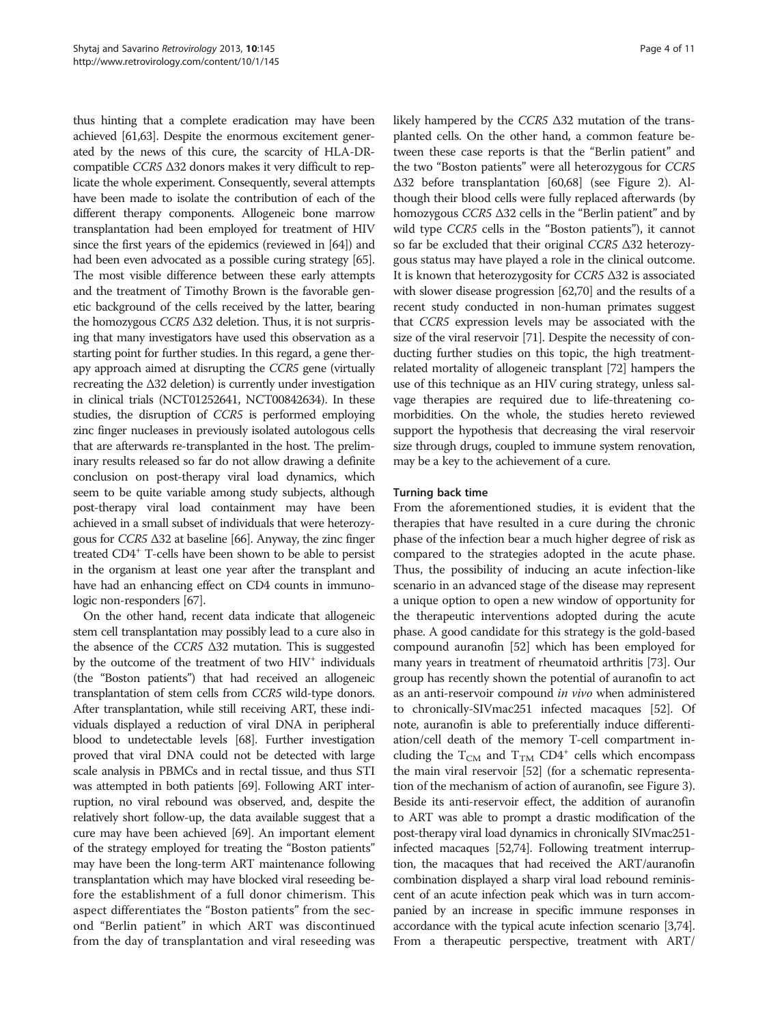thus hinting that a complete eradication may have been achieved [\[61,63\]](#page-9-0). Despite the enormous excitement generated by the news of this cure, the scarcity of HLA-DRcompatible CCR5 <sup>Δ</sup>32 donors makes it very difficult to replicate the whole experiment. Consequently, several attempts have been made to isolate the contribution of each of the different therapy components. Allogeneic bone marrow transplantation had been employed for treatment of HIV since the first years of the epidemics (reviewed in [\[64\]](#page-9-0)) and had been even advocated as a possible curing strategy [\[65](#page-9-0)]. The most visible difference between these early attempts and the treatment of Timothy Brown is the favorable genetic background of the cells received by the latter, bearing the homozygous CCR5 <sup>Δ</sup>32 deletion. Thus, it is not surprising that many investigators have used this observation as a starting point for further studies. In this regard, a gene therapy approach aimed at disrupting the CCR5 gene (virtually recreating the  $\Delta 32$  deletion) is currently under investigation in clinical trials (NCT01252641, NCT00842634). In these studies, the disruption of CCR5 is performed employing zinc finger nucleases in previously isolated autologous cells that are afterwards re-transplanted in the host. The preliminary results released so far do not allow drawing a definite conclusion on post-therapy viral load dynamics, which seem to be quite variable among study subjects, although post-therapy viral load containment may have been achieved in a small subset of individuals that were heterozygous for CCR5 <sup>Δ</sup>32 at baseline [[66](#page-9-0)]. Anyway, the zinc finger treated CD4+ T-cells have been shown to be able to persist in the organism at least one year after the transplant and have had an enhancing effect on CD4 counts in immunologic non-responders [\[67](#page-9-0)].

On the other hand, recent data indicate that allogeneic stem cell transplantation may possibly lead to a cure also in the absence of the CCR5  $\Delta$ 32 mutation. This is suggested by the outcome of the treatment of two  $H_1V^+$  individuals (the "Boston patients") that had received an allogeneic transplantation of stem cells from CCR5 wild-type donors. After transplantation, while still receiving ART, these individuals displayed a reduction of viral DNA in peripheral blood to undetectable levels [\[68\]](#page-9-0). Further investigation proved that viral DNA could not be detected with large scale analysis in PBMCs and in rectal tissue, and thus STI was attempted in both patients [\[69\]](#page-9-0). Following ART interruption, no viral rebound was observed, and, despite the relatively short follow-up, the data available suggest that a cure may have been achieved [\[69\]](#page-9-0). An important element of the strategy employed for treating the "Boston patients" may have been the long-term ART maintenance following transplantation which may have blocked viral reseeding before the establishment of a full donor chimerism. This aspect differentiates the "Boston patients" from the second "Berlin patient" in which ART was discontinued from the day of transplantation and viral reseeding was likely hampered by the CCR5  $\Delta$ 32 mutation of the transplanted cells. On the other hand, a common feature between these case reports is that the "Berlin patient" and the two "Boston patients" were all heterozygous for CCR5 Δ32 before transplantation [\[60,68](#page-9-0)] (see Figure [2\)](#page-4-0). Although their blood cells were fully replaced afterwards (by homozygous CCR5 <sup>Δ</sup>32 cells in the "Berlin patient" and by wild type CCR5 cells in the "Boston patients"), it cannot so far be excluded that their original CCR5 <sup>Δ</sup>32 heterozygous status may have played a role in the clinical outcome. It is known that heterozygosity for CCR5 <sup>Δ</sup>32 is associated with slower disease progression [\[62,70](#page-9-0)] and the results of a recent study conducted in non-human primates suggest that CCR5 expression levels may be associated with the size of the viral reservoir [[71](#page-9-0)]. Despite the necessity of conducting further studies on this topic, the high treatmentrelated mortality of allogeneic transplant [\[72\]](#page-9-0) hampers the use of this technique as an HIV curing strategy, unless salvage therapies are required due to life-threatening comorbidities. On the whole, the studies hereto reviewed support the hypothesis that decreasing the viral reservoir size through drugs, coupled to immune system renovation, may be a key to the achievement of a cure.

# Turning back time

From the aforementioned studies, it is evident that the therapies that have resulted in a cure during the chronic phase of the infection bear a much higher degree of risk as compared to the strategies adopted in the acute phase. Thus, the possibility of inducing an acute infection-like scenario in an advanced stage of the disease may represent a unique option to open a new window of opportunity for the therapeutic interventions adopted during the acute phase. A good candidate for this strategy is the gold-based compound auranofin [[52\]](#page-8-0) which has been employed for many years in treatment of rheumatoid arthritis [\[73\]](#page-9-0). Our group has recently shown the potential of auranofin to act as an anti-reservoir compound in vivo when administered to chronically-SIVmac251 infected macaques [[52](#page-8-0)]. Of note, auranofin is able to preferentially induce differentiation/cell death of the memory T-cell compartment including the  $T_{CM}$  and  $T_{TM}$  CD4<sup>+</sup> cells which encompass the main viral reservoir [[52](#page-8-0)] (for a schematic representation of the mechanism of action of auranofin, see Figure [3](#page-4-0)). Beside its anti-reservoir effect, the addition of auranofin to ART was able to prompt a drastic modification of the post-therapy viral load dynamics in chronically SIVmac251 infected macaques [[52](#page-8-0)[,74\]](#page-9-0). Following treatment interruption, the macaques that had received the ART/auranofin combination displayed a sharp viral load rebound reminiscent of an acute infection peak which was in turn accompanied by an increase in specific immune responses in accordance with the typical acute infection scenario [\[3](#page-7-0)[,74](#page-9-0)]. From a therapeutic perspective, treatment with ART/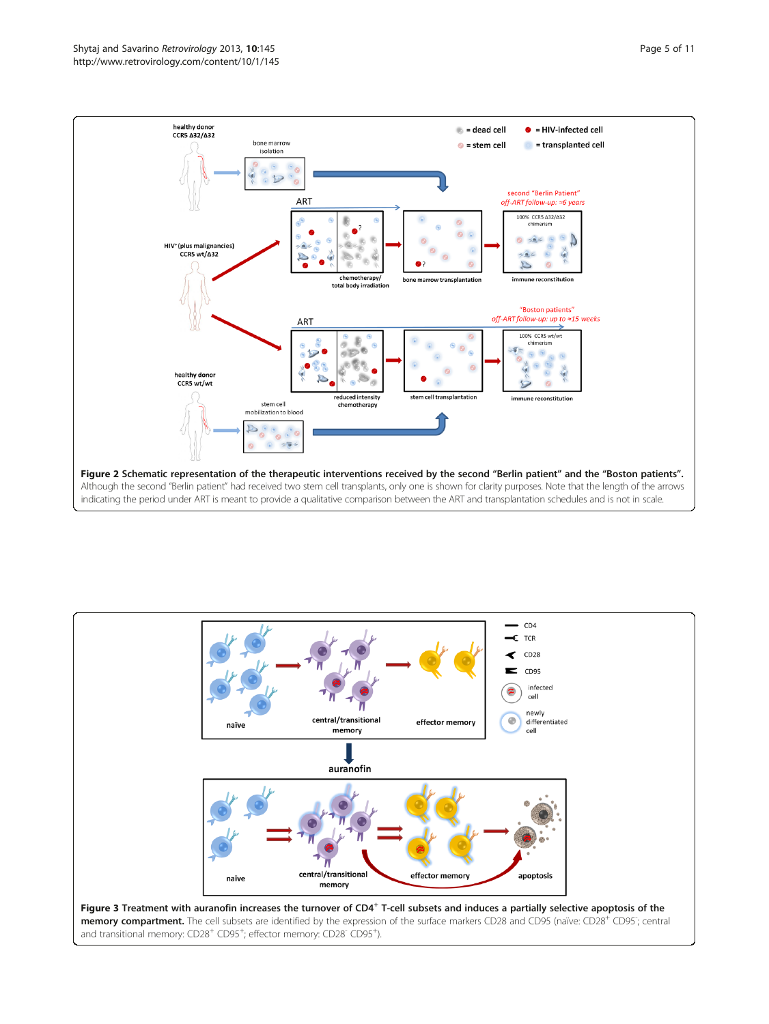<span id="page-4-0"></span>

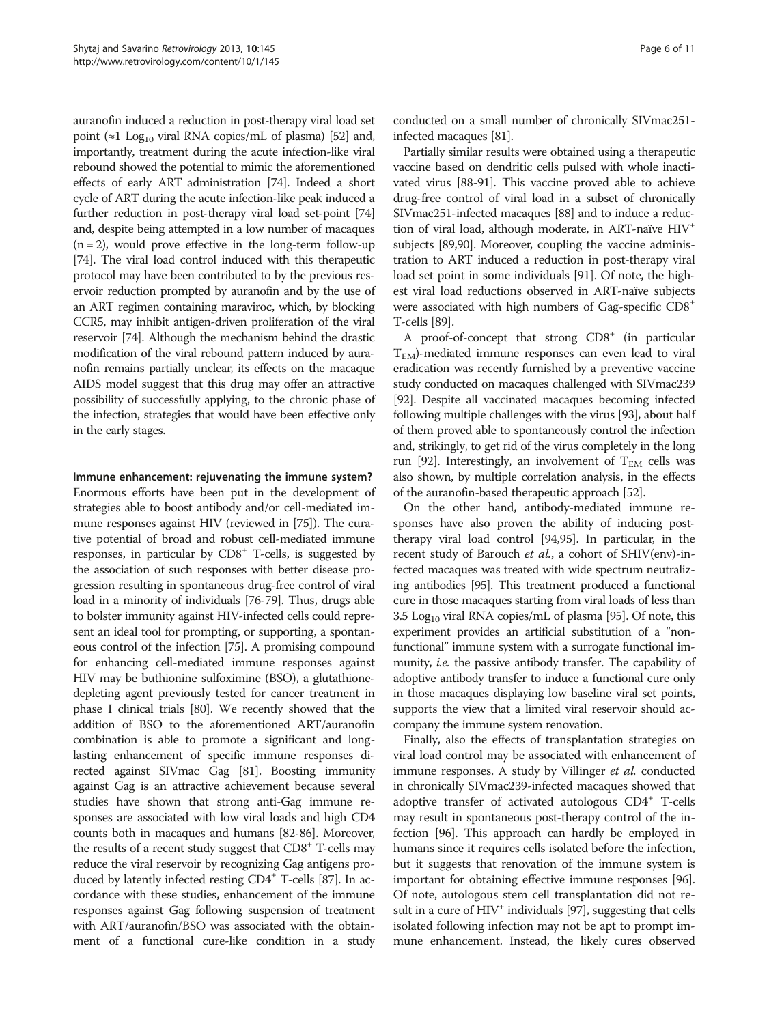auranofin induced a reduction in post-therapy viral load set point ( $\approx$ 1 Log<sub>10</sub> viral RNA copies/mL of plasma) [\[52\]](#page-8-0) and, importantly, treatment during the acute infection-like viral rebound showed the potential to mimic the aforementioned effects of early ART administration [\[74](#page-9-0)]. Indeed a short cycle of ART during the acute infection-like peak induced a further reduction in post-therapy viral load set-point [\[74](#page-9-0)] and, despite being attempted in a low number of macaques  $(n = 2)$ , would prove effective in the long-term follow-up [[74](#page-9-0)]. The viral load control induced with this therapeutic protocol may have been contributed to by the previous reservoir reduction prompted by auranofin and by the use of an ART regimen containing maraviroc, which, by blocking CCR5, may inhibit antigen-driven proliferation of the viral reservoir [\[74\]](#page-9-0). Although the mechanism behind the drastic modification of the viral rebound pattern induced by auranofin remains partially unclear, its effects on the macaque AIDS model suggest that this drug may offer an attractive possibility of successfully applying, to the chronic phase of the infection, strategies that would have been effective only in the early stages.

# Immune enhancement: rejuvenating the immune system?

Enormous efforts have been put in the development of strategies able to boost antibody and/or cell-mediated immune responses against HIV (reviewed in [\[75\]](#page-9-0)). The curative potential of broad and robust cell-mediated immune responses, in particular by CD8<sup>+</sup> T-cells, is suggested by the association of such responses with better disease progression resulting in spontaneous drug-free control of viral load in a minority of individuals [[76-79\]](#page-9-0). Thus, drugs able to bolster immunity against HIV-infected cells could represent an ideal tool for prompting, or supporting, a spontaneous control of the infection [[75](#page-9-0)]. A promising compound for enhancing cell-mediated immune responses against HIV may be buthionine sulfoximine (BSO), a glutathionedepleting agent previously tested for cancer treatment in phase I clinical trials [\[80\]](#page-9-0). We recently showed that the addition of BSO to the aforementioned ART/auranofin combination is able to promote a significant and longlasting enhancement of specific immune responses directed against SIVmac Gag [\[81\]](#page-9-0). Boosting immunity against Gag is an attractive achievement because several studies have shown that strong anti-Gag immune responses are associated with low viral loads and high CD4 counts both in macaques and humans [\[82-](#page-9-0)[86\]](#page-10-0). Moreover, the results of a recent study suggest that  $CD8<sup>+</sup>$  T-cells may reduce the viral reservoir by recognizing Gag antigens produced by latently infected resting  $CD4^+$  T-cells [[87](#page-10-0)]. In accordance with these studies, enhancement of the immune responses against Gag following suspension of treatment with ART/auranofin/BSO was associated with the obtainment of a functional cure-like condition in a study

conducted on a small number of chronically SIVmac251 infected macaques [\[81\]](#page-9-0).

Partially similar results were obtained using a therapeutic vaccine based on dendritic cells pulsed with whole inactivated virus [\[88-91](#page-10-0)]. This vaccine proved able to achieve drug-free control of viral load in a subset of chronically SIVmac251-infected macaques [[88](#page-10-0)] and to induce a reduction of viral load, although moderate, in ART-naïve HIV+ subjects [[89,90\]](#page-10-0). Moreover, coupling the vaccine administration to ART induced a reduction in post-therapy viral load set point in some individuals [\[91](#page-10-0)]. Of note, the highest viral load reductions observed in ART-naïve subjects were associated with high numbers of Gag-specific CD8+ T-cells [\[89\]](#page-10-0).

A proof-of-concept that strong CD8<sup>+</sup> (in particular TEM)-mediated immune responses can even lead to viral eradication was recently furnished by a preventive vaccine study conducted on macaques challenged with SIVmac239 [[92](#page-10-0)]. Despite all vaccinated macaques becoming infected following multiple challenges with the virus [[93](#page-10-0)], about half of them proved able to spontaneously control the infection and, strikingly, to get rid of the virus completely in the long run [\[92\]](#page-10-0). Interestingly, an involvement of  $T_{EM}$  cells was also shown, by multiple correlation analysis, in the effects of the auranofin-based therapeutic approach [[52](#page-8-0)].

On the other hand, antibody-mediated immune responses have also proven the ability of inducing posttherapy viral load control [\[94,95](#page-10-0)]. In particular, in the recent study of Barouch et al., a cohort of SHIV(env)-infected macaques was treated with wide spectrum neutralizing antibodies [[95](#page-10-0)]. This treatment produced a functional cure in those macaques starting from viral loads of less than 3.5 Log<sub>10</sub> viral RNA copies/mL of plasma [\[95\]](#page-10-0). Of note, this experiment provides an artificial substitution of a "nonfunctional" immune system with a surrogate functional immunity, *i.e.* the passive antibody transfer. The capability of adoptive antibody transfer to induce a functional cure only in those macaques displaying low baseline viral set points, supports the view that a limited viral reservoir should accompany the immune system renovation.

Finally, also the effects of transplantation strategies on viral load control may be associated with enhancement of immune responses. A study by Villinger et al. conducted in chronically SIVmac239-infected macaques showed that adoptive transfer of activated autologous  $CD4^+$  T-cells may result in spontaneous post-therapy control of the infection [\[96\]](#page-10-0). This approach can hardly be employed in humans since it requires cells isolated before the infection, but it suggests that renovation of the immune system is important for obtaining effective immune responses [[96](#page-10-0)]. Of note, autologous stem cell transplantation did not result in a cure of  $H\dot{H}$  individuals [[97](#page-10-0)], suggesting that cells isolated following infection may not be apt to prompt immune enhancement. Instead, the likely cures observed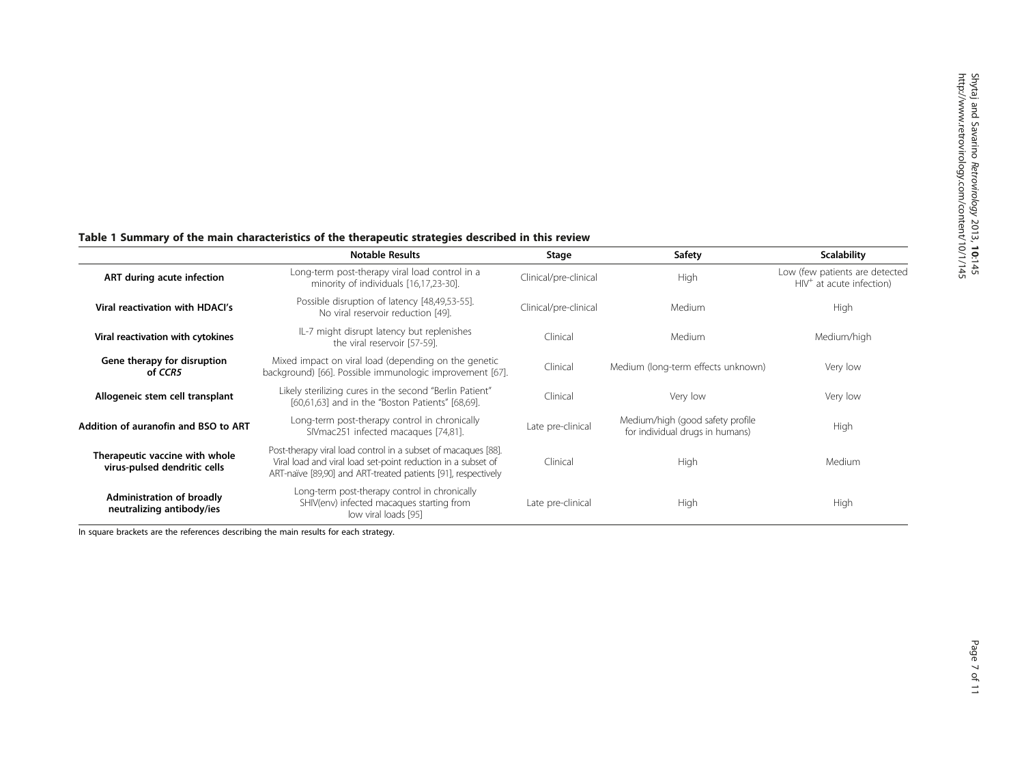Shytaj and

|                                                                | <b>Notable Results</b>                                                                                                                                                                         | Stage                 | Safety                                                              | <b>Scalability</b>                                           |
|----------------------------------------------------------------|------------------------------------------------------------------------------------------------------------------------------------------------------------------------------------------------|-----------------------|---------------------------------------------------------------------|--------------------------------------------------------------|
| ART during acute infection                                     | Long-term post-therapy viral load control in a<br>minority of individuals [16,17,23-30].                                                                                                       | Clinical/pre-clinical | High                                                                | Low (few patients are detected<br>$HIV+$ at acute infection) |
| Viral reactivation with HDACI's                                | Possible disruption of latency [48,49,53-55].<br>No viral reservoir reduction [49].                                                                                                            | Clinical/pre-clinical | Medium                                                              | High                                                         |
| Viral reactivation with cytokines                              | IL-7 might disrupt latency but replenishes<br>the viral reservoir [57-59].                                                                                                                     | Clinical              | Medium                                                              | Medium/high                                                  |
| Gene therapy for disruption<br>of CCR5                         | Mixed impact on viral load (depending on the genetic<br>background) [66]. Possible immunologic improvement [67].                                                                               | Clinical              | Medium (long-term effects unknown)                                  | Very low                                                     |
| Allogeneic stem cell transplant                                | Likely sterilizing cures in the second "Berlin Patient"<br>[60,61,63] and in the "Boston Patients" [68,69].                                                                                    | Clinical              | Very low                                                            | Very low                                                     |
| Addition of auranofin and BSO to ART                           | Long-term post-therapy control in chronically<br>SIVmac251 infected macaques [74,81].                                                                                                          | Late pre-clinical     | Medium/high (good safety profile<br>for individual drugs in humans) | High                                                         |
| Therapeutic vaccine with whole<br>virus-pulsed dendritic cells | Post-therapy viral load control in a subset of macaques [88].<br>Viral load and viral load set-point reduction in a subset of<br>ART-naïve [89,90] and ART-treated patients [91], respectively | Clinical              | High                                                                | Medium                                                       |
| Administration of broadly<br>neutralizing antibody/ies         | Long-term post-therapy control in chronically<br>SHIV(env) infected macaques starting from<br>low viral loads [95]                                                                             | Late pre-clinical     | High                                                                | High                                                         |

# <span id="page-6-0"></span>Table 1 Summary of the main characteristics of the therapeutic strategies described in this review

In square brackets are the references describing the main results for each strategy.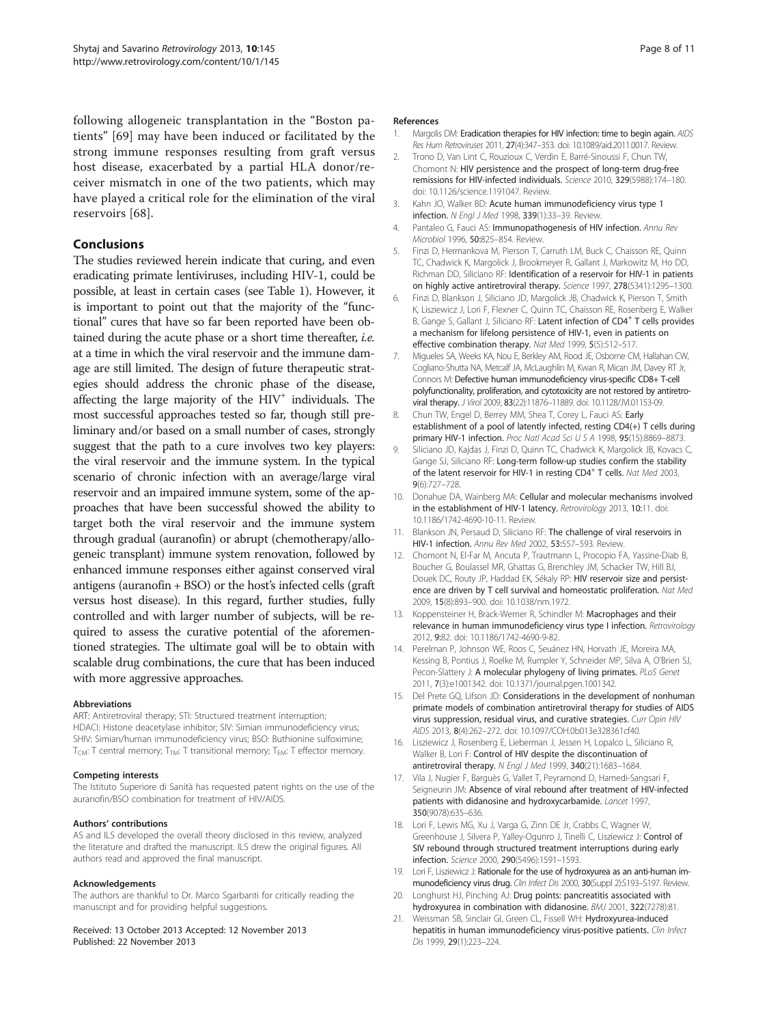<span id="page-7-0"></span>following allogeneic transplantation in the "Boston patients" [[69](#page-9-0)] may have been induced or facilitated by the strong immune responses resulting from graft versus host disease, exacerbated by a partial HLA donor/receiver mismatch in one of the two patients, which may have played a critical role for the elimination of the viral reservoirs [\[68](#page-9-0)].

# Conclusions

The studies reviewed herein indicate that curing, and even eradicating primate lentiviruses, including HIV-1, could be possible, at least in certain cases (see Table [1\)](#page-6-0). However, it is important to point out that the majority of the "functional" cures that have so far been reported have been obtained during the acute phase or a short time thereafter, i.e. at a time in which the viral reservoir and the immune damage are still limited. The design of future therapeutic strategies should address the chronic phase of the disease, affecting the large majority of the  $HIV<sup>+</sup>$  individuals. The most successful approaches tested so far, though still preliminary and/or based on a small number of cases, strongly suggest that the path to a cure involves two key players: the viral reservoir and the immune system. In the typical scenario of chronic infection with an average/large viral reservoir and an impaired immune system, some of the approaches that have been successful showed the ability to target both the viral reservoir and the immune system through gradual (auranofin) or abrupt (chemotherapy/allogeneic transplant) immune system renovation, followed by enhanced immune responses either against conserved viral antigens (auranofin + BSO) or the host's infected cells (graft versus host disease). In this regard, further studies, fully controlled and with larger number of subjects, will be required to assess the curative potential of the aforementioned strategies. The ultimate goal will be to obtain with scalable drug combinations, the cure that has been induced with more aggressive approaches.

#### Abbreviations

ART: Antiretroviral therapy; STI: Structured treatment interruption; HDACI: Histone deacetylase inhibitor; SIV: Simian immunodeficiency virus; SHIV: Simian/human immunodeficiency virus; BSO: Buthionine sulfoximine;  $T_{CM}$ : T central memory;  $T_{TM}$ : T transitional memory;  $T_{FM}$ : T effector memory.

#### Competing interests

The Istituto Superiore di Sanità has requested patent rights on the use of the auranofin/BSO combination for treatment of HIV/AIDS.

#### Authors' contributions

AS and ILS developed the overall theory disclosed in this review, analyzed the literature and drafted the manuscript. ILS drew the original figures. All authors read and approved the final manuscript.

#### Acknowledgements

The authors are thankful to Dr. Marco Sgarbanti for critically reading the manuscript and for providing helpful suggestions.

#### Received: 13 October 2013 Accepted: 12 November 2013 Published: 22 November 2013

### References

- 1. Margolis DM: Eradication therapies for HIV infection: time to begin again. AIDS Res Hum Retroviruses 2011, 27(4):347–353. doi: 10.1089/aid.2011.0017. Review.
- 2. Trono D, Van Lint C, Rouzioux C, Verdin E, Barré-Sinoussi F, Chun TW, Chomont N: HIV persistence and the prospect of long-term drug-free remissions for HIV-infected individuals. Science 2010, 329(5988):174–180. doi: 10.1126/science.1191047. Review.
- 3. Kahn JO, Walker BD: Acute human immunodeficiency virus type 1 infection. N Engl J Med 1998, 339(1):33–39. Review.
- 4. Pantaleo G, Fauci AS: Immunopathogenesis of HIV infection. Annu Rev Microbiol 1996, 50:825–854. Review.
- 5. Finzi D, Hermankova M, Pierson T, Carruth LM, Buck C, Chaisson RE, Quinn TC, Chadwick K, Margolick J, Brookmeyer R, Gallant J, Markowitz M, Ho DD, Richman DD, Siliciano RF: Identification of a reservoir for HIV-1 in patients on highly active antiretroviral therapy. Science 1997, 278(5341):1295–1300.
- 6. Finzi D, Blankson J, Siliciano JD, Margolick JB, Chadwick K, Pierson T, Smith K, Lisziewicz J, Lori F, Flexner C, Quinn TC, Chaisson RE, Rosenberg E, Walker B, Gange S, Gallant J, Siliciano RF: Latent infection of CD4<sup>+</sup> T cells provides a mechanism for lifelong persistence of HIV-1, even in patients on effective combination therapy. Nat Med 1999, 5(5):512–517.
- 7. Migueles SA, Weeks KA, Nou E, Berkley AM, Rood JE, Osborne CM, Hallahan CW, Cogliano-Shutta NA, Metcalf JA, McLaughlin M, Kwan R, Mican JM, Davey RT Jr, Connors M: Defective human immunodeficiency virus-specific CD8+ T-cell polyfunctionality, proliferation, and cytotoxicity are not restored by antiretroviral therapy. J Virol 2009, 83(22):11876–11889. doi: 10.1128/JVI.01153-09.
- 8. Chun TW, Engel D, Berrey MM, Shea T, Corey L, Fauci AS: Early establishment of a pool of latently infected, resting CD4(+) T cells during primary HIV-1 infection. Proc Natl Acad Sci U S A 1998, 95(15):8869-8873.
- 9. Siliciano JD, Kajdas J, Finzi D, Quinn TC, Chadwick K, Margolick JB, Kovacs C, Gange SJ, Siliciano RF: Long-term follow-up studies confirm the stability of the latent reservoir for HIV-1 in resting CD4<sup>+</sup> T cells. Nat Med 2003, 9(6):727–728.
- 10. Donahue DA, Wainberg MA: Cellular and molecular mechanisms involved in the establishment of HIV-1 latency. Retrovirology 2013, 10:11. doi: 10.1186/1742-4690-10-11. Review.
- 11. Blankson JN, Persaud D, Siliciano RF: The challenge of viral reservoirs in HIV-1 infection. Annu Rev Med 2002, 53:557–593. Review.
- 12. Chomont N, El-Far M, Ancuta P, Trautmann L, Procopio FA, Yassine-Diab B, Boucher G, Boulassel MR, Ghattas G, Brenchley JM, Schacker TW, Hill BJ, Douek DC, Routy JP, Haddad EK, Sékaly RP: HIV reservoir size and persistence are driven by T cell survival and homeostatic proliferation. Nat Med 2009, 15(8):893–900. doi: 10.1038/nm.1972.
- 13. Koppensteiner H, Brack-Werner R, Schindler M: Macrophages and their relevance in human immunodeficiency virus type I infection. Retrovirology 2012, 9:82. doi: 10.1186/1742-4690-9-82.
- 14. Perelman P, Johnson WE, Roos C, Seuánez HN, Horvath JE, Moreira MA, Kessing B, Pontius J, Roelke M, Rumpler Y, Schneider MP, Silva A, O'Brien SJ, Pecon-Slattery J: A molecular phylogeny of living primates. PLoS Genet 2011, 7(3):e1001342. doi: 10.1371/journal.pgen.1001342.
- 15. Del Prete GQ, Lifson JD: Considerations in the development of nonhuman primate models of combination antiretroviral therapy for studies of AIDS virus suppression, residual virus, and curative strategies. Curr Opin HIV AIDS 2013, 8(4):262–272. doi: 10.1097/COH.0b013e328361cf40.
- 16. Lisziewicz J, Rosenberg E, Lieberman J, Jessen H, Lopalco L, Siliciano R, Walker B, Lori F: Control of HIV despite the discontinuation of antiretroviral therapy. N Engl J Med 1999, 340(21):1683–1684.
- 17. Vila J, Nugier F, Barguès G, Vallet T, Peyramond D, Hamedi-Sangsari F, Seigneurin JM: Absence of viral rebound after treatment of HIV-infected patients with didanosine and hydroxycarbamide. Lancet 1997, 350(9078):635–636.
- 18. Lori F, Lewis MG, Xu J, Varga G, Zinn DE Jr, Crabbs C, Wagner W, Greenhouse J, Silvera P, Yalley-Ogunro J, Tinelli C, Lisziewicz J: Control of SIV rebound through structured treatment interruptions during early infection. Science 2000, 290(5496):1591–1593.
- 19. Lori F, Lisziewicz J: Rationale for the use of hydroxyurea as an anti-human immunodeficiency virus drug. Clin Infect Dis 2000, 30(Suppl 2):S193–S197. Review.
- 20. Longhurst HJ, Pinching AJ: Drug points: pancreatitis associated with hydroxyurea in combination with didanosine. BMJ 2001, 322(7278):81.
- 21. Weissman SB, Sinclair GI, Green CL, Fissell WH: Hydroxyurea-induced hepatitis in human immunodeficiency virus-positive patients. Clin Infect Dis 1999, 29(1):223–224.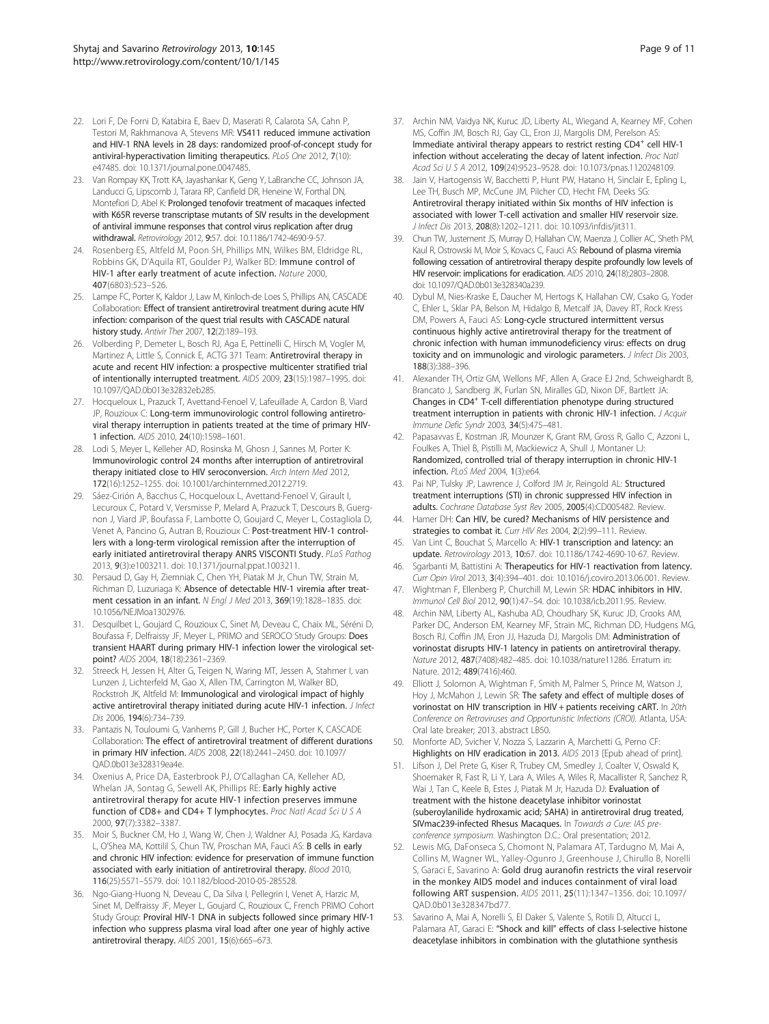- <span id="page-8-0"></span>22. Lori F, De Forni D, Katabira E, Baev D, Maserati R, Calarota SA, Cahn P, Testori M, Rakhmanova A, Stevens MR: VS411 reduced immune activation and HIV-1 RNA levels in 28 days: randomized proof-of-concept study for antiviral-hyperactivation limiting therapeutics. PLoS One 2012, 7(10): e47485. doi: 10.1371/journal.pone.0047485.
- 23. Van Rompay KK, Trott KA, Jayashankar K, Geng Y, LaBranche CC, Johnson JA, Landucci G, Lipscomb J, Tarara RP, Canfield DR, Heneine W, Forthal DN, Montefiori D, Abel K: Prolonged tenofovir treatment of macaques infected with K65R reverse transcriptase mutants of SIV results in the development of antiviral immune responses that control virus replication after drug withdrawal. Retrovirology 2012, 9:57. doi: 10.1186/1742-4690-9-57.
- 24. Rosenberg ES, Altfeld M, Poon SH, Phillips MN, Wilkes BM, Eldridge RL, Robbins GK, D'Aquila RT, Goulder PJ, Walker BD: Immune control of HIV-1 after early treatment of acute infection. Nature 2000, 407(6803):523–526.
- 25. Lampe FC, Porter K, Kaldor J, Law M, Kinloch-de Loes S, Phillips AN, CASCADE Collaboration: Effect of transient antiretroviral treatment during acute HIV infection: comparison of the quest trial results with CASCADE natural history study. Antivir Ther 2007, 12(2):189–193.
- 26. Volberding P, Demeter L, Bosch RJ, Aga E, Pettinelli C, Hirsch M, Vogler M, Martinez A, Little S, Connick E, ACTG 371 Team: Antiretroviral therapy in acute and recent HIV infection: a prospective multicenter stratified trial of intentionally interrupted treatment. AIDS 2009, 23(15):1987–1995. doi: 10.1097/QAD.0b013e32832eb285.
- 27. Hocqueloux L, Prazuck T, Avettand-Fenoel V, Lafeuillade A, Cardon B, Viard JP, Rouzioux C: Long-term immunovirologic control following antiretroviral therapy interruption in patients treated at the time of primary HIV-1 infection. AIDS 2010, 24(10):1598–1601.
- 28. Lodi S, Meyer L, Kelleher AD, Rosinska M, Ghosn J, Sannes M, Porter K: Immunovirologic control 24 months after interruption of antiretroviral therapy initiated close to HIV seroconversion. Arch Intern Med 2012, 172(16):1252–1255. doi: 10.1001/archinternmed.2012.2719.
- 29. Sáez-Cirión A, Bacchus C, Hocqueloux L, Avettand-Fenoel V, Girault I, Lecuroux C, Potard V, Versmisse P, Melard A, Prazuck T, Descours B, Guergnon J, Viard JP, Boufassa F, Lambotte O, Goujard C, Meyer L, Costagliola D, Venet A, Pancino G, Autran B, Rouzioux C: Post-treatment HIV-1 controllers with a long-term virological remission after the interruption of early initiated antiretroviral therapy ANRS VISCONTI Study. PLoS Pathog 2013, 9(3):e1003211. doi: 10.1371/journal.ppat.1003211.
- 30. Persaud D, Gay H, Ziemniak C, Chen YH, Piatak M Jr, Chun TW, Strain M, Richman D, Luzuriaga K: Absence of detectable HIV-1 viremia after treatment cessation in an infant. N Engl J Med 2013, 369(19):1828–1835. doi: 10.1056/NEJMoa1302976.
- 31. Desquilbet L, Goujard C, Rouzioux C, Sinet M, Deveau C, Chaix ML, Séréni D, Boufassa F, Delfraissy JF, Meyer L, PRIMO and SEROCO Study Groups: Does transient HAART during primary HIV-1 infection lower the virological setpoint? AIDS 2004, 18(18):2361–2369.
- 32. Streeck H, Jessen H, Alter G, Teigen N, Waring MT, Jessen A, Stahmer I, van Lunzen J, Lichterfeld M, Gao X, Allen TM, Carrington M, Walker BD, Rockstroh JK, Altfeld M: Immunological and virological impact of highly active antiretroviral therapy initiated during acute HIV-1 infection. J Infect Dis 2006, 194(6):734–739.
- 33. Pantazis N, Touloumi G, Vanhems P, Gill J, Bucher HC, Porter K, CASCADE Collaboration: The effect of antiretroviral treatment of different durations in primary HIV infection. AIDS 2008, 22(18):2441–2450. doi: 10.1097/ QAD.0b013e328319ea4e.
- 34. Oxenius A, Price DA, Easterbrook PJ, O'Callaghan CA, Kelleher AD, Whelan JA, Sontag G, Sewell AK, Phillips RE: Early highly active antiretroviral therapy for acute HIV-1 infection preserves immune function of CD8+ and CD4+ T lymphocytes. Proc Natl Acad Sci U S A 2000, 97(7):3382–3387.
- 35. Moir S, Buckner CM, Ho J, Wang W, Chen J, Waldner AJ, Posada JG, Kardava L, O'Shea MA, Kottilil S, Chun TW, Proschan MA, Fauci AS: B cells in early and chronic HIV infection: evidence for preservation of immune function associated with early initiation of antiretroviral therapy. Blood 2010, 116(25):5571–5579. doi: 10.1182/blood-2010-05-285528.
- 36. Ngo-Giang-Huong N, Deveau C, Da Silva I, Pellegrin I, Venet A, Harzic M, Sinet M, Delfraissy JF, Meyer L, Goujard C, Rouzioux C, French PRIMO Cohort Study Group: Proviral HIV-1 DNA in subjects followed since primary HIV-1 infection who suppress plasma viral load after one year of highly active antiretroviral therapy. AIDS 2001, 15(6):665–673.
- 37. Archin NM, Vaidya NK, Kuruc JD, Liberty AL, Wiegand A, Kearney MF, Cohen MS, Coffin JM, Bosch RJ, Gay CL, Eron JJ, Margolis DM, Perelson AS: Immediate antiviral therapy appears to restrict resting CD4<sup>+</sup> cell HIV-1 infection without accelerating the decay of latent infection. Proc Natl Acad Sci U S A 2012, 109(24):9523–9528. doi: 10.1073/pnas.1120248109.
- 38. Jain V, Hartogensis W, Bacchetti P, Hunt PW, Hatano H, Sinclair E, Epling L, Lee TH, Busch MP, McCune JM, Pilcher CD, Hecht FM, Deeks SG: Antiretroviral therapy initiated within Six months of HIV infection is associated with lower T-cell activation and smaller HIV reservoir size. J Infect Dis 2013, 208(8):1202–1211. doi: 10.1093/infdis/jit311.
- 39. Chun TW, Justement JS, Murray D, Hallahan CW, Maenza J, Collier AC, Sheth PM, Kaul R. Ostrowski M, Moir S, Kovacs C, Fauci AS: Rebound of plasma viremia following cessation of antiretroviral therapy despite profoundly low levels of HIV reservoir: implications for eradication. AIDS 2010, 24(18):2803–2808. doi: 10.1097/QAD.0b013e328340a239.
- 40. Dybul M, Nies-Kraske E, Daucher M, Hertogs K, Hallahan CW, Csako G, Yoder C, Ehler L, Sklar PA, Belson M, Hidalgo B, Metcalf JA, Davey RT, Rock Kress DM, Powers A, Fauci AS: Long-cycle structured intermittent versus continuous highly active antiretroviral therapy for the treatment of chronic infection with human immunodeficiency virus: effects on drug toxicity and on immunologic and virologic parameters. J Infect Dis 2003, 188(3):388–396.
- 41. Alexander TH, Ortiz GM, Wellons MF, Allen A, Grace EJ 2nd, Schweighardt B, Brancato J, Sandberg JK, Furlan SN, Miralles GD, Nixon DF, Bartlett JA: Changes in CD4+ T-cell differentiation phenotype during structured treatment interruption in patients with chronic HIV-1 infection. J Acquir Immune Defic Syndr 2003, 34(5):475–481.
- 42. Papasavvas E, Kostman JR, Mounzer K, Grant RM, Gross R, Gallo C, Azzoni L, Foulkes A, Thiel B, Pistilli M, Mackiewicz A, Shull J, Montaner LJ: Randomized, controlled trial of therapy interruption in chronic HIV-1 infection. PLoS Med 2004, 1(3):e64.
- 43. Pai NP, Tulsky JP, Lawrence J, Colford JM Jr, Reingold AL: Structured treatment interruptions (STI) in chronic suppressed HIV infection in adults. Cochrane Database Syst Rev 2005, 2005(4):CD005482. Review.
- 44. Hamer DH: Can HIV, be cured? Mechanisms of HIV persistence and strategies to combat it. Curr HIV Res 2004, 2(2):99-111. Review.
- 45. Van Lint C, Bouchat S, Marcello A: HIV-1 transcription and latency: an update. Retrovirology 2013, 10:67. doi: 10.1186/1742-4690-10-67. Review.
- Sgarbanti M, Battistini A: Therapeutics for HIV-1 reactivation from latency. Curr Opin Virol 2013, 3(4):394–401. doi: 10.1016/j.coviro.2013.06.001. Review.
- 47. Wightman F, Ellenberg P, Churchill M, Lewin SR: HDAC inhibitors in HIV. Immunol Cell Biol 2012, 90(1):47–54. doi: 10.1038/icb.2011.95. Review.
- 48. Archin NM, Liberty AL, Kashuba AD, Choudhary SK, Kuruc JD, Crooks AM, Parker DC, Anderson EM, Kearney MF, Strain MC, Richman DD, Hudgens MG, Bosch RJ, Coffin JM, Eron JJ, Hazuda DJ, Margolis DM: Administration of vorinostat disrupts HIV-1 latency in patients on antiretroviral therapy. Nature 2012, 487(7408):482–485. doi: 10.1038/nature11286. Erratum in: Nature. 2012; 489(7416):460.
- 49. Elliott J, Solomon A, Wightman F, Smith M, Palmer S, Prince M, Watson J, Hoy J, McMahon J, Lewin SR: The safety and effect of multiple doses of vorinostat on HIV transcription in HIV + patients receiving cART. In 20th Conference on Retroviruses and Opportunistic Infections (CROI). Atlanta, USA: Oral late breaker; 2013. abstract LB50.
- 50. Monforte AD, Svicher V, Nozza S, Lazzarin A, Marchetti G, Perno CF: Highlights on HIV eradication in 2013. AIDS 2013 [Epub ahead of print].
- 51. Lifson J, Del Prete G, Kiser R, Trubey CM, Smedley J, Coalter V, Oswald K, Shoemaker R, Fast R, Li Y, Lara A, Wiles A, Wiles R, Macallister R, Sanchez R, Wai J, Tan C, Keele B, Estes J, Piatak M Jr, Hazuda DJ: Evaluation of treatment with the histone deacetylase inhibitor vorinostat (suberoylanilide hydroxamic acid; SAHA) in antiretroviral drug treated, SIVmac239-infected Rhesus Macaques. In Towards a Cure: IAS preconference symposium. Washington D.C.: Oral presentation; 2012.
- 52. Lewis MG, DaFonseca S, Chomont N, Palamara AT, Tardugno M, Mai A, Collins M, Wagner WL, Yalley-Ogunro J, Greenhouse J, Chirullo B, Norelli S, Garaci E, Savarino A: Gold drug auranofin restricts the viral reservoir in the monkey AIDS model and induces containment of viral load following ART suspension. AIDS 2011, 25(11):1347–1356. doi: 10.1097/ QAD.0b013e328347bd77.
- 53. Savarino A, Mai A, Norelli S, El Daker S, Valente S, Rotili D, Altucci L, Palamara AT, Garaci E: "Shock and kill" effects of class I-selective histone deacetylase inhibitors in combination with the glutathione synthesis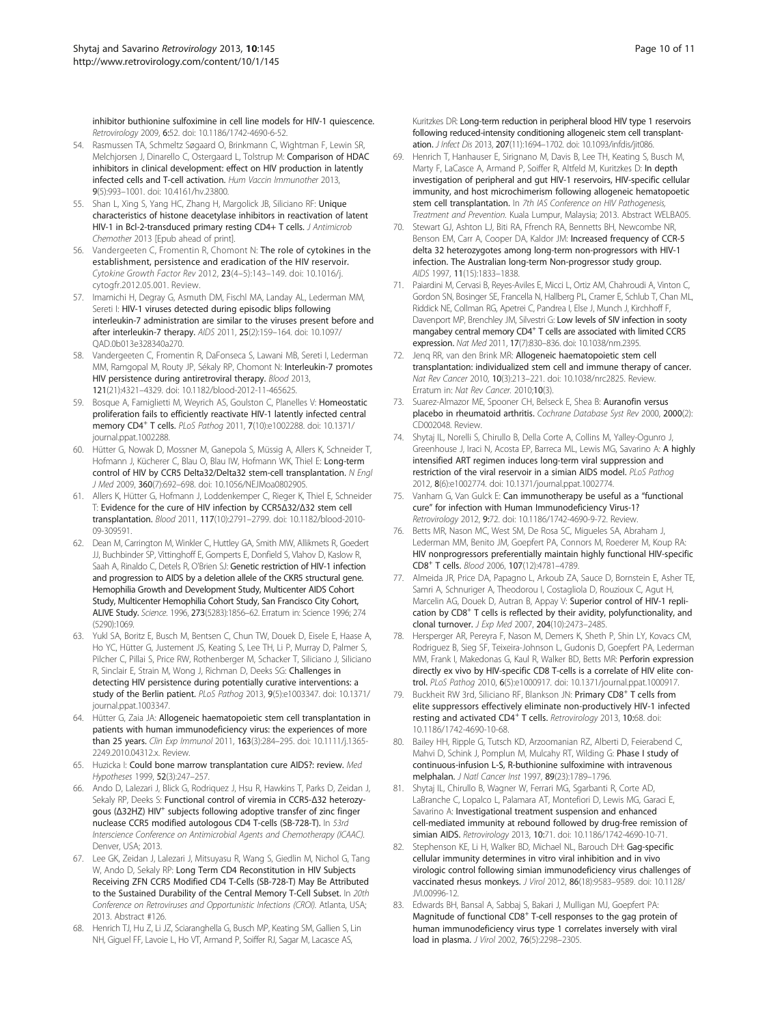<span id="page-9-0"></span>inhibitor buthionine sulfoximine in cell line models for HIV-1 quiescence. Retrovirology 2009, 6:52. doi: 10.1186/1742-4690-6-52.

- 54. Rasmussen TA, Schmeltz Søgaard O, Brinkmann C, Wightman F, Lewin SR, Melchjorsen J, Dinarello C, Ostergaard L, Tolstrup M: Comparison of HDAC inhibitors in clinical development: effect on HIV production in latently infected cells and T-cell activation. Hum Vaccin Immunother 2013, 9(5):993–1001. doi: 10.4161/hv.23800.
- 55. Shan L, Xing S, Yang HC, Zhang H, Margolick JB, Siliciano RF: Unique characteristics of histone deacetylase inhibitors in reactivation of latent HIV-1 in Bcl-2-transduced primary resting CD4+ T cells. J Antimicrob Chemother 2013 [Epub ahead of print].
- 56. Vandergeeten C, Fromentin R, Chomont N: The role of cytokines in the establishment, persistence and eradication of the HIV reservoir. Cytokine Growth Factor Rev 2012, 23(4–5):143–149. doi: 10.1016/j. cytogfr.2012.05.001. Review.
- 57. Imamichi H, Degray G, Asmuth DM, Fischl MA, Landay AL, Lederman MM, Sereti I: HIV-1 viruses detected during episodic blips following interleukin-7 administration are similar to the viruses present before and after interleukin-7 therapy. AIDS 2011, 25(2):159–164. doi: 10.1097/ QAD.0b013e328340a270.
- 58. Vandergeeten C, Fromentin R, DaFonseca S, Lawani MB, Sereti I, Lederman MM, Ramgopal M, Routy JP, Sékaly RP, Chomont N: Interleukin-7 promotes HIV persistence during antiretroviral therapy. Blood 2013, 121(21):4321–4329. doi: 10.1182/blood-2012-11-465625.
- 59. Bosque A, Famiglietti M, Weyrich AS, Goulston C, Planelles V: Homeostatic proliferation fails to efficiently reactivate HIV-1 latently infected central memory CD4<sup>+</sup> T cells. PLoS Pathog 2011, 7(10):e1002288. doi: 10.1371/ journal.ppat.1002288.
- 60. Hütter G, Nowak D, Mossner M, Ganepola S, Müssig A, Allers K, Schneider T, Hofmann J, Kücherer C, Blau O, Blau IW, Hofmann WK, Thiel E: Long-term control of HIV by CCR5 Delta32/Delta32 stem-cell transplantation. N Engl J Med 2009, 360(7):692–698. doi: 10.1056/NEJMoa0802905.
- 61. Allers K, Hütter G, Hofmann J, Loddenkemper C, Rieger K, Thiel E, Schneider T: Evidence for the cure of HIV infection by CCR5Δ32/Δ32 stem cell transplantation. Blood 2011, 117(10):2791–2799. doi: 10.1182/blood-2010- 09-309591.
- 62. Dean M, Carrington M, Winkler C, Huttley GA, Smith MW, Allikmets R, Goedert JJ, Buchbinder SP, Vittinghoff E, Gomperts E, Donfield S, Vlahov D, Kaslow R, Saah A, Rinaldo C, Detels R, O'Brien SJ: Genetic restriction of HIV-1 infection and progression to AIDS by a deletion allele of the CKR5 structural gene. Hemophilia Growth and Development Study, Multicenter AIDS Cohort Study, Multicenter Hemophilia Cohort Study, San Francisco City Cohort, ALIVE Study. Science. 1996, 273(5283):1856–62. Erratum in: Science 1996; 274 (5290):1069.
- 63. Yukl SA, Boritz E, Busch M, Bentsen C, Chun TW, Douek D, Eisele E, Haase A, Ho YC, Hütter G, Justement JS, Keating S, Lee TH, Li P, Murray D, Palmer S, Pilcher C, Pillai S, Price RW, Rothenberger M, Schacker T, Siliciano J, Siliciano R, Sinclair E, Strain M, Wong J, Richman D, Deeks SG: Challenges in detecting HIV persistence during potentially curative interventions: a study of the Berlin patient. PLoS Pathog 2013, 9(5):e1003347. doi: 10.1371/ journal.ppat.1003347.
- 64. Hütter G, Zaia JA: Allogeneic haematopoietic stem cell transplantation in patients with human immunodeficiency virus: the experiences of more than 25 years. Clin Exp Immunol 2011, 163(3):284–295. doi: 10.1111/j.1365- 2249.2010.04312.x. Review.
- 65. Huzicka I: Could bone marrow transplantation cure AIDS?: review. Med Hypotheses 1999, 52(3):247–257.
- 66. Ando D, Lalezari J, Blick G, Rodriquez J, Hsu R, Hawkins T, Parks D, Zeidan J, Sekaly RP, Deeks S: Functional control of viremia in CCR5-Δ32 heterozygous (Δ32HZ) HIV<sup>+</sup> subjects following adoptive transfer of zinc finger nuclease CCR5 modified autologous CD4 T-cells (SB-728-T). In 53rd Interscience Conference on Antimicrobial Agents and Chemotherapy (ICAAC). Denver, USA; 2013.
- 67. Lee GK, Zeidan J, Lalezari J, Mitsuyasu R, Wang S, Giedlin M, Nichol G, Tang W, Ando D, Sekaly RP: Long Term CD4 Reconstitution in HIV Subjects Receiving ZFN CCR5 Modified CD4 T-Cells (SB-728-T) May Be Attributed to the Sustained Durability of the Central Memory T-Cell Subset. In 20th Conference on Retroviruses and Opportunistic Infections (CROI). Atlanta, USA; 2013. Abstract #126.
- 68. Henrich TJ, Hu Z, Li JZ, Sciaranghella G, Busch MP, Keating SM, Gallien S, Lin NH, Giguel FF, Lavoie L, Ho VT, Armand P, Soiffer RJ, Sagar M, Lacasce AS,

Kuritzkes DR: Long-term reduction in peripheral blood HIV type 1 reservoirs following reduced-intensity conditioning allogeneic stem cell transplantation. J Infect Dis 2013, 207(11):1694–1702. doi: 10.1093/infdis/jit086.

- 69. Henrich T, Hanhauser E, Sirignano M, Davis B, Lee TH, Keating S, Busch M, Marty F, LaCasce A, Armand P, Soiffer R, Altfeld M, Kuritzkes D: In depth investigation of peripheral and gut HIV-1 reservoirs, HIV-specific cellular immunity, and host microchimerism following allogeneic hematopoetic stem cell transplantation. In 7th IAS Conference on HIV Pathogenesis, Treatment and Prevention. Kuala Lumpur, Malaysia; 2013. Abstract WELBA05.
- 70. Stewart GJ, Ashton LJ, Biti RA, Ffrench RA, Bennetts BH, Newcombe NR, Benson EM, Carr A, Cooper DA, Kaldor JM: Increased frequency of CCR-5 delta 32 heterozygotes among long-term non-progressors with HIV-1 infection. The Australian long-term Non-progressor study group. AIDS 1997, 11(15):1833–1838.
- 71. Paiardini M, Cervasi B, Reyes-Aviles E, Micci L, Ortiz AM, Chahroudi A, Vinton C, Gordon SN, Bosinger SE, Francella N, Hallberg PL, Cramer E, Schlub T, Chan ML, Riddick NE, Collman RG, Apetrei C, Pandrea I, Else J, Munch J, Kirchhoff F, Davenport MP, Brenchley JM, Silvestri G: Low levels of SIV infection in sooty mangabey central memory CD4<sup>+</sup> T cells are associated with limited CCR5 expression. Nat Med 2011, 17(7):830–836. doi: 10.1038/nm.2395.
- 72. Jenq RR, van den Brink MR: Allogeneic haematopoietic stem cell transplantation: individualized stem cell and immune therapy of cancer. Nat Rev Cancer 2010, 10(3):213–221. doi: 10.1038/nrc2825. Review. Erratum in: Nat Rev Cancer. 2010;10(3).
- 73. Suarez-Almazor ME, Spooner CH, Belseck E, Shea B: Auranofin versus placebo in rheumatoid arthritis. Cochrane Database Syst Rev 2000, 2000(2): CD002048. Review.
- 74. Shytaj IL, Norelli S, Chirullo B, Della Corte A, Collins M, Yalley-Ogunro J, Greenhouse J, Iraci N, Acosta EP, Barreca ML, Lewis MG, Savarino A: A highly intensified ART regimen induces long-term viral suppression and restriction of the viral reservoir in a simian AIDS model. PLoS Pathog 2012, 8(6):e1002774. doi: 10.1371/journal.ppat.1002774.
- 75. Vanham G, Van Gulck E: Can immunotherapy be useful as a "functional cure" for infection with Human Immunodeficiency Virus-1? Retrovirology 2012, 9:72. doi: 10.1186/1742-4690-9-72. Review.
- 76. Betts MR, Nason MC, West SM, De Rosa SC, Migueles SA, Abraham J, Lederman MM, Benito JM, Goepfert PA, Connors M, Roederer M, Koup RA: HIV nonprogressors preferentially maintain highly functional HIV-specific CD8+ T cells. Blood 2006, 107(12):4781–4789.
- 77. Almeida JR, Price DA, Papagno L, Arkoub ZA, Sauce D, Bornstein E, Asher TE, Samri A, Schnuriger A, Theodorou I, Costagliola D, Rouzioux C, Agut H, Marcelin AG, Douek D, Autran B, Appay V: Superior control of HIV-1 replication by CD8<sup>+</sup> T cells is reflected by their avidity, polyfunctionality, and clonal turnover. J Exp Med 2007, 204(10):2473–2485.
- 78. Hersperger AR, Pereyra F, Nason M, Demers K, Sheth P, Shin LY, Kovacs CM, Rodriguez B, Sieg SF, Teixeira-Johnson L, Gudonis D, Goepfert PA, Lederman MM, Frank I, Makedonas G, Kaul R, Walker BD, Betts MR: Perforin expression directly ex vivo by HIV-specific CD8 T-cells is a correlate of HIV elite control. PLoS Pathog 2010, 6(5):e1000917. doi: 10.1371/journal.ppat.1000917.
- 79. Buckheit RW 3rd, Siliciano RF, Blankson JN: Primary CD8<sup>+</sup> T cells from elite suppressors effectively eliminate non-productively HIV-1 infected resting and activated CD4<sup>+</sup> T cells. Retrovirology 2013, 10:68. doi: 10.1186/1742-4690-10-68.
- 80. Bailey HH, Ripple G, Tutsch KD, Arzoomanian RZ, Alberti D, Feierabend C, Mahvi D, Schink J, Pomplun M, Mulcahy RT, Wilding G: Phase I study of continuous-infusion L-S, R-buthionine sulfoximine with intravenous melphalan. J Natl Cancer Inst 1997, 89(23):1789–1796.
- 81. Shytaj IL, Chirullo B, Wagner W, Ferrari MG, Sgarbanti R, Corte AD, LaBranche C, Lopalco L, Palamara AT, Montefiori D, Lewis MG, Garaci E, Savarino A: Investigational treatment suspension and enhanced cell-mediated immunity at rebound followed by drug-free remission of simian AIDS. Retrovirology 2013, 10:71. doi: 10.1186/1742-4690-10-71.
- 82. Stephenson KE, Li H, Walker BD, Michael NL, Barouch DH: Gag-specific cellular immunity determines in vitro viral inhibition and in vivo virologic control following simian immunodeficiency virus challenges of vaccinated rhesus monkeys. J Virol 2012, 86(18):9583–9589. doi: 10.1128/ JVI.00996-12.
- 83. Edwards BH, Bansal A, Sabbaj S, Bakari J, Mulligan MJ, Goepfert PA: Magnitude of functional CD8<sup>+</sup> T-cell responses to the gag protein of human immunodeficiency virus type 1 correlates inversely with viral load in plasma. J Virol 2002, 76(5):2298–2305.